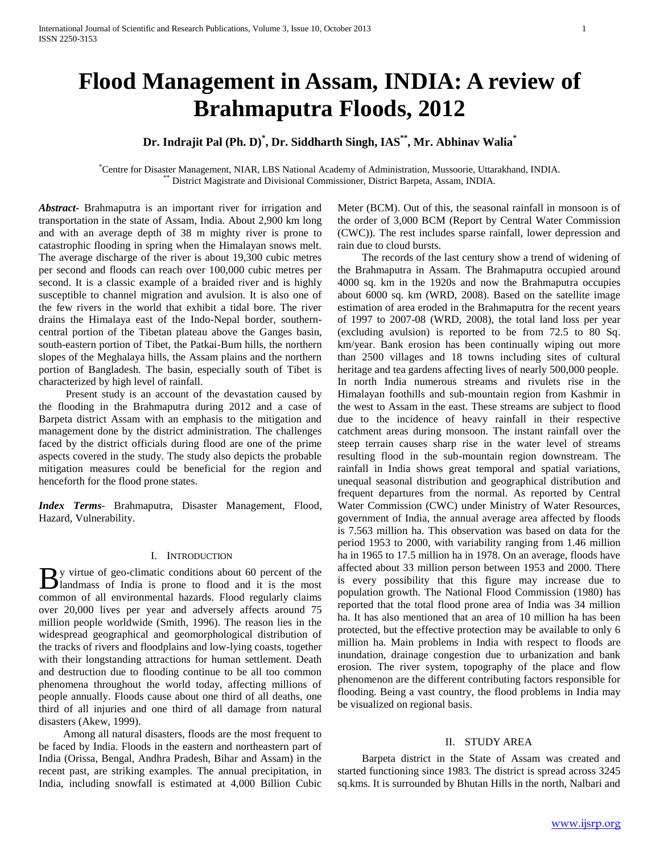# **Flood Management in Assam, INDIA: A review of Brahmaputra Floods, 2012**

## **Dr. Indrajit Pal (Ph. D)\* , Dr. Siddharth Singh, IAS\*\*, Mr. Abhinav Walia\***

\*Centre for Disaster Management, NIAR, LBS National Academy of Administration, Mussoorie, Uttarakhand, INDIA. \*\* District Magistrate and Divisional Commissioner, District Barpeta, Assam, INDIA.

*Abstract***-** Brahmaputra is an important river for irrigation and transportation in the state of Assam, India. About 2,900 km long and with an average depth of 38 m mighty river is prone to catastrophic flooding in spring when the Himalayan snows melt. The average discharge of the river is about 19,300 cubic metres per second and floods can reach over 100,000 cubic metres per second. It is a classic example of a braided river and is highly susceptible to channel migration and avulsion. It is also one of the few rivers in the world that exhibit a tidal bore. The river drains the Himalaya east of the Indo-Nepal border, southerncentral portion of the Tibetan plateau above the Ganges basin, south-eastern portion of Tibet, the Patkai-Bum hills, the northern slopes of the Meghalaya hills, the Assam plains and the northern portion of Bangladesh. The basin, especially south of Tibet is characterized by high level of rainfall.

 Present study is an account of the devastation caused by the flooding in the Brahmaputra during 2012 and a case of Barpeta district Assam with an emphasis to the mitigation and management done by the district administration. The challenges faced by the district officials during flood are one of the prime aspects covered in the study. The study also depicts the probable mitigation measures could be beneficial for the region and henceforth for the flood prone states.

*Index Terms*- Brahmaputra, Disaster Management, Flood, Hazard, Vulnerability.

#### I. INTRODUCTION

y virtue of geo-climatic conditions about 60 percent of the By virtue of geo-climatic conditions about 60 percent of the landmass of India is prone to flood and it is the most common of all environmental hazards. Flood regularly claims over 20,000 lives per year and adversely affects around 75 million people worldwide (Smith, 1996). The reason lies in the widespread geographical and geomorphological distribution of the tracks of rivers and floodplains and low-lying coasts, together with their longstanding attractions for human settlement. Death and destruction due to flooding continue to be all too common phenomena throughout the world today, affecting millions of people annually. Floods cause about one third of all deaths, one third of all injuries and one third of all damage from natural disasters (Akew, 1999).

 Among all natural disasters, floods are the most frequent to be faced by India. Floods in the eastern and northeastern part of India (Orissa, Bengal, Andhra Pradesh, Bihar and Assam) in the recent past, are striking examples. The annual precipitation, in India, including snowfall is estimated at 4,000 Billion Cubic

Meter (BCM). Out of this, the seasonal rainfall in monsoon is of the order of 3,000 BCM (Report by Central Water Commission (CWC)). The rest includes sparse rainfall, lower depression and rain due to cloud bursts.

 The records of the last century show a trend of widening of the Brahmaputra in Assam. The Brahmaputra occupied around 4000 sq. km in the 1920s and now the Brahmaputra occupies about 6000 sq. km (WRD, 2008). Based on the satellite image estimation of area eroded in the Brahmaputra for the recent years of 1997 to 2007-08 (WRD, 2008), the total land loss per year (excluding avulsion) is reported to be from 72.5 to 80 Sq. km/year. Bank erosion has been continually wiping out more than 2500 villages and 18 towns including sites of cultural heritage and tea gardens affecting lives of nearly 500,000 people. In north India numerous streams and rivulets rise in the Himalayan foothills and sub-mountain region from Kashmir in the west to Assam in the east. These streams are subject to flood due to the incidence of heavy rainfall in their respective catchment areas during monsoon. The instant rainfall over the steep terrain causes sharp rise in the water level of streams resulting flood in the sub-mountain region downstream. The rainfall in India shows great temporal and spatial variations, unequal seasonal distribution and geographical distribution and frequent departures from the normal. As reported by Central Water Commission (CWC) under Ministry of Water Resources, government of India, the annual average area affected by floods is 7.563 million ha. This observation was based on data for the period 1953 to 2000, with variability ranging from 1.46 million ha in 1965 to 17.5 million ha in 1978. On an average, floods have affected about 33 million person between 1953 and 2000. There is every possibility that this figure may increase due to population growth. The National Flood Commission (1980) has reported that the total flood prone area of India was 34 million ha. It has also mentioned that an area of 10 million ha has been protected, but the effective protection may be available to only 6 million ha. Main problems in India with respect to floods are inundation, drainage congestion due to urbanization and bank erosion. The river system, topography of the place and flow phenomenon are the different contributing factors responsible for flooding. Being a vast country, the flood problems in India may be visualized on regional basis.

## II. STUDY AREA

 Barpeta district in the State of Assam was created and started functioning since 1983. The district is spread across 3245 sq.kms. It is surrounded by Bhutan Hills in the north, Nalbari and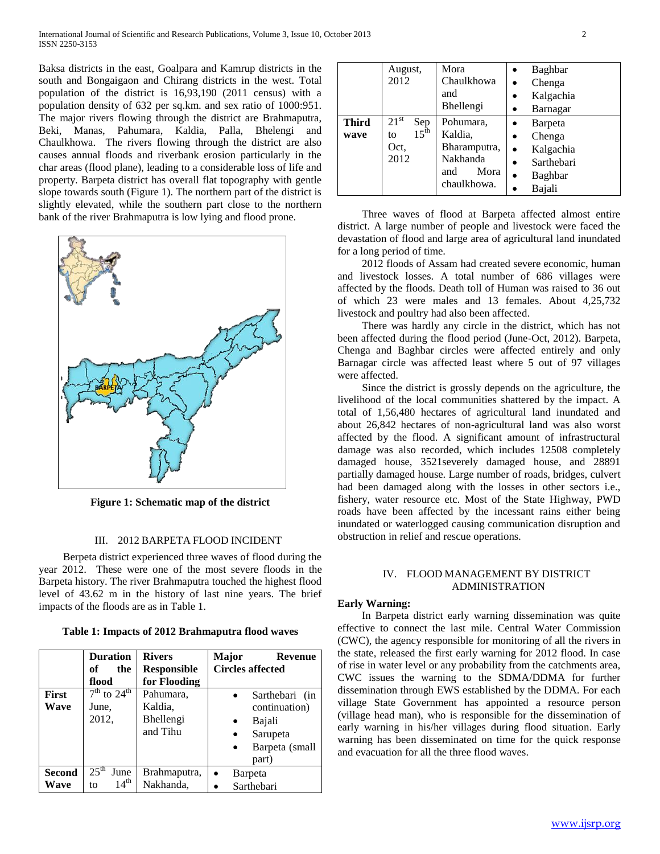Baksa districts in the east, Goalpara and Kamrup districts in the south and Bongaigaon and Chirang districts in the west. Total population of the district is 16,93,190 (2011 census) with a population density of 632 per sq.km. and sex ratio of 1000:951. The major rivers flowing through the district are Brahmaputra, Beki, Manas, Pahumara, Kaldia, Palla, Bhelengi and Chaulkhowa. The rivers flowing through the district are also causes annual floods and riverbank erosion particularly in the char areas (flood plane), leading to a considerable loss of life and property. Barpeta district has overall flat topography with gentle slope towards south (Figure 1). The northern part of the district is slightly elevated, while the southern part close to the northern bank of the river Brahmaputra is low lying and flood prone.



**Figure 1: Schematic map of the district**

## III. 2012 BARPETA FLOOD INCIDENT

 Berpeta district experienced three waves of flood during the year 2012. These were one of the most severe floods in the Barpeta history. The river Brahmaputra touched the highest flood level of 43.62 m in the history of last nine years. The brief impacts of the floods are as in Table 1.

**Table 1: Impacts of 2012 Brahmaputra flood waves**

|               | <b>Duration</b><br>of<br>the<br>flood | <b>Rivers</b><br><b>Responsible</b><br>for Flooding | Major<br>Revenue<br><b>Circles affected</b> |
|---------------|---------------------------------------|-----------------------------------------------------|---------------------------------------------|
| First         | $7th$ to $24th$                       | Pahumara,                                           | Sarthebari (in<br>$\bullet$                 |
| Wave          | June,                                 | Kaldia.                                             | continuation)                               |
|               | 2012,                                 | Bhellengi                                           | Bajali                                      |
|               |                                       | and Tihu                                            | Sarupeta<br>$\bullet$                       |
|               |                                       |                                                     | Barpeta (small<br>$\bullet$                 |
|               |                                       |                                                     | part)                                       |
| <b>Second</b> | $25^{\text{th}}$<br>June              | Brahmaputra,                                        | Barpeta<br>$\bullet$                        |
| Wave          | $14^{\text{th}}$<br>to                | Nakhanda,                                           | Sarthebari                                  |

|                      | August,<br>2012                                            | Mora<br>Chaulkhowa<br>and<br>Bhellengi                                         | Baghbar<br>Chenga<br>Kalgachia<br>$\bullet$<br>Barnagar<br>$\bullet$                                            |
|----------------------|------------------------------------------------------------|--------------------------------------------------------------------------------|-----------------------------------------------------------------------------------------------------------------|
| <b>Third</b><br>wave | $21^{st}$<br>Sep<br>$15^{\text{th}}$<br>to<br>Oct,<br>2012 | Pohumara,<br>Kaldia,<br>Bharamputra,<br>Nakhanda<br>Mora<br>and<br>chaulkhowa. | Barpeta<br>Chenga<br>Kalgachia<br>$\bullet$<br>Sarthebari<br>$\bullet$<br><b>Baghbar</b><br>$\bullet$<br>Bajali |

 Three waves of flood at Barpeta affected almost entire district. A large number of people and livestock were faced the devastation of flood and large area of agricultural land inundated for a long period of time.

 2012 floods of Assam had created severe economic, human and livestock losses. A total number of 686 villages were affected by the floods. Death toll of Human was raised to 36 out of which 23 were males and 13 females. About 4,25,732 livestock and poultry had also been affected.

 There was hardly any circle in the district, which has not been affected during the flood period (June-Oct, 2012). Barpeta, Chenga and Baghbar circles were affected entirely and only Barnagar circle was affected least where 5 out of 97 villages were affected.

 Since the district is grossly depends on the agriculture, the livelihood of the local communities shattered by the impact. A total of 1,56,480 hectares of agricultural land inundated and about 26,842 hectares of non-agricultural land was also worst affected by the flood. A significant amount of infrastructural damage was also recorded, which includes 12508 completely damaged house, 3521severely damaged house, and 28891 partially damaged house. Large number of roads, bridges, culvert had been damaged along with the losses in other sectors i.e., fishery, water resource etc. Most of the State Highway, PWD roads have been affected by the incessant rains either being inundated or waterlogged causing communication disruption and obstruction in relief and rescue operations.

## IV. FLOOD MANAGEMENT BY DISTRICT ADMINISTRATION

## **Early Warning:**

 In Barpeta district early warning dissemination was quite effective to connect the last mile. Central Water Commission (CWC), the agency responsible for monitoring of all the rivers in the state, released the first early warning for 2012 flood. In case of rise in water level or any probability from the catchments area, CWC issues the warning to the SDMA/DDMA for further dissemination through EWS established by the DDMA. For each village State Government has appointed a resource person (village head man), who is responsible for the dissemination of early warning in his/her villages during flood situation. Early warning has been disseminated on time for the quick response and evacuation for all the three flood waves.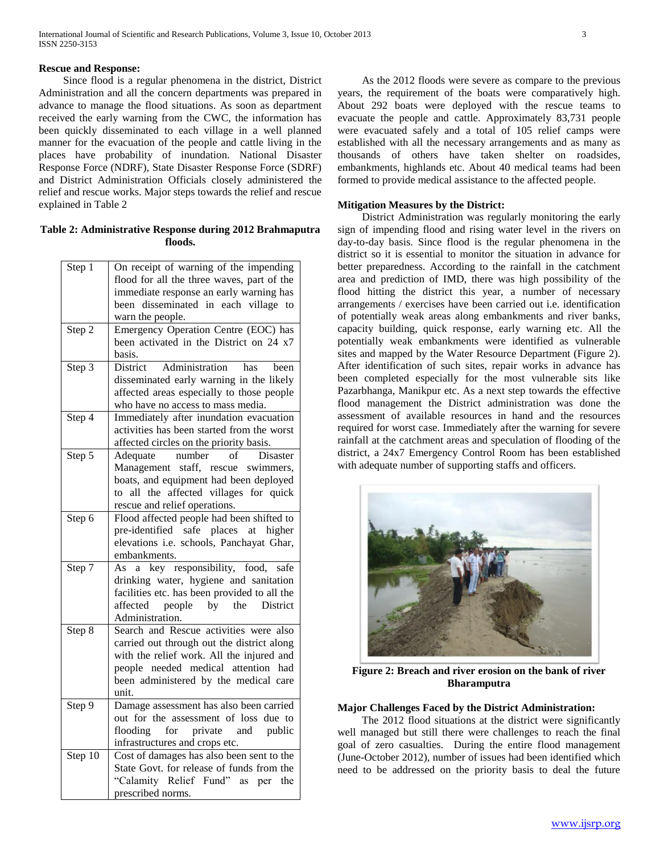Since flood is a regular phenomena in the district, District Administration and all the concern departments was prepared in advance to manage the flood situations. As soon as department received the early warning from the CWC, the information has been quickly disseminated to each village in a well planned manner for the evacuation of the people and cattle living in the places have probability of inundation. National Disaster Response Force (NDRF), State Disaster Response Force (SDRF) and District Administration Officials closely administered the relief and rescue works. Major steps towards the relief and rescue explained in Table 2

**Table 2: Administrative Response during 2012 Brahmaputra floods.**

| Step 1  | On receipt of warning of the impending       |
|---------|----------------------------------------------|
|         | flood for all the three waves, part of the   |
|         | immediate response an early warning has      |
|         | been disseminated in each village to         |
|         | warn the people.                             |
| Step 2  | Emergency Operation Centre (EOC) has         |
|         | been activated in the District on 24 x7      |
|         | basis.                                       |
| Step 3  | Administration<br>District<br>has<br>been    |
|         | disseminated early warning in the likely     |
|         | affected areas especially to those people    |
|         | who have no access to mass media.            |
| Step 4  | Immediately after inundation evacuation      |
|         | activities has been started from the worst   |
|         | affected circles on the priority basis.      |
| Step 5  | Adequate<br>number<br>of<br>Disaster         |
|         | Management staff, rescue swimmers,           |
|         | boats, and equipment had been deployed       |
|         | to all the affected villages for quick       |
|         | rescue and relief operations.                |
| Step 6  | Flood affected people had been shifted to    |
|         | pre-identified safe places at higher         |
|         | elevations i.e. schools, Panchayat Ghar,     |
|         | embankments.                                 |
| Step 7  | a key responsibility, food, safe<br>As       |
|         | drinking water, hygiene and sanitation       |
|         | facilities etc. has been provided to all the |
|         | by the<br>affected<br>people<br>District     |
|         | Administration.                              |
| Step 8  | Search and Rescue activities were also       |
|         | carried out through out the district along   |
|         | with the relief work. All the injured and    |
|         | people needed medical attention had          |
|         | been administered by the medical care        |
|         | unit.                                        |
| Step 9  | Damage assessment has also been carried      |
|         | out for the assessment of loss due to        |
|         | for<br>private and<br>public<br>flooding     |
|         | infrastructures and crops etc.               |
| Step 10 | Cost of damages has also been sent to the    |
|         | State Govt. for release of funds from the    |
|         | "Calamity Relief Fund" as per the            |
|         | prescribed norms.                            |

 As the 2012 floods were severe as compare to the previous years, the requirement of the boats were comparatively high. About 292 boats were deployed with the rescue teams to evacuate the people and cattle. Approximately 83,731 people were evacuated safely and a total of 105 relief camps were established with all the necessary arrangements and as many as thousands of others have taken shelter on roadsides, embankments, highlands etc. About 40 medical teams had been formed to provide medical assistance to the affected people.

## **Mitigation Measures by the District:**

 District Administration was regularly monitoring the early sign of impending flood and rising water level in the rivers on day-to-day basis. Since flood is the regular phenomena in the district so it is essential to monitor the situation in advance for better preparedness. According to the rainfall in the catchment area and prediction of IMD, there was high possibility of the flood hitting the district this year, a number of necessary arrangements / exercises have been carried out i.e. identification of potentially weak areas along embankments and river banks, capacity building, quick response, early warning etc. All the potentially weak embankments were identified as vulnerable sites and mapped by the Water Resource Department (Figure 2). After identification of such sites, repair works in advance has been completed especially for the most vulnerable sits like Pazarbhanga, Manikpur etc. As a next step towards the effective flood management the District administration was done the assessment of available resources in hand and the resources required for worst case. Immediately after the warning for severe rainfall at the catchment areas and speculation of flooding of the district, a 24x7 Emergency Control Room has been established with adequate number of supporting staffs and officers.



**Figure 2: Breach and river erosion on the bank of river Bharamputra**

### **Major Challenges Faced by the District Administration:**

 The 2012 flood situations at the district were significantly well managed but still there were challenges to reach the final goal of zero casualties. During the entire flood management (June-October 2012), number of issues had been identified which need to be addressed on the priority basis to deal the future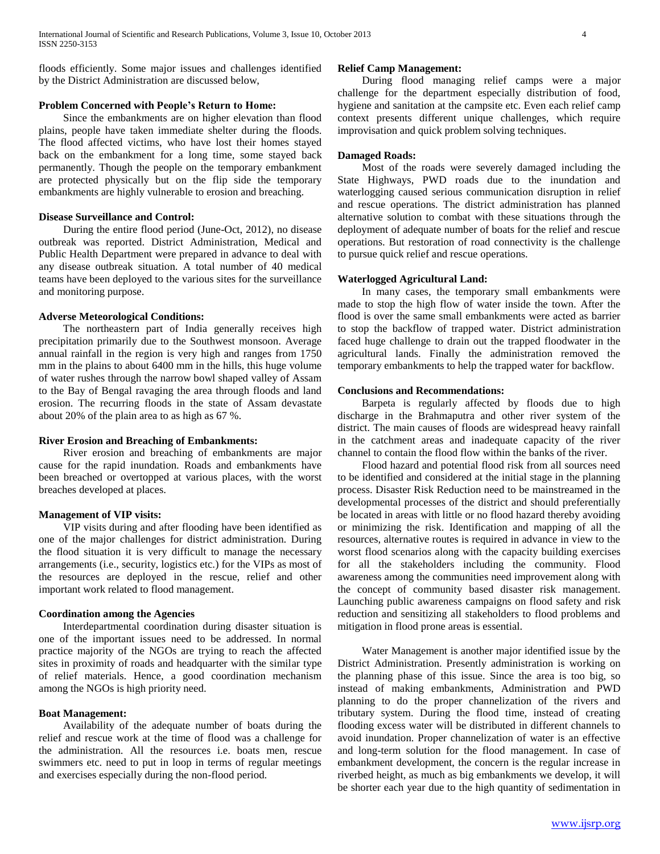floods efficiently. Some major issues and challenges identified by the District Administration are discussed below,

## **Problem Concerned with People's Return to Home:**

 Since the embankments are on higher elevation than flood plains, people have taken immediate shelter during the floods. The flood affected victims, who have lost their homes stayed back on the embankment for a long time, some stayed back permanently. Though the people on the temporary embankment are protected physically but on the flip side the temporary embankments are highly vulnerable to erosion and breaching.

#### **Disease Surveillance and Control:**

 During the entire flood period (June-Oct, 2012), no disease outbreak was reported. District Administration, Medical and Public Health Department were prepared in advance to deal with any disease outbreak situation. A total number of 40 medical teams have been deployed to the various sites for the surveillance and monitoring purpose.

#### **Adverse Meteorological Conditions:**

 The northeastern part of India generally receives high precipitation primarily due to the Southwest monsoon. Average annual rainfall in the region is very high and ranges from 1750 mm in the plains to about 6400 mm in the hills, this huge volume of water rushes through the narrow bowl shaped valley of Assam to the Bay of Bengal ravaging the area through floods and land erosion. The recurring floods in the state of Assam devastate about 20% of the plain area to as high as 67 %.

#### **River Erosion and Breaching of Embankments:**

 River erosion and breaching of embankments are major cause for the rapid inundation. Roads and embankments have been breached or overtopped at various places, with the worst breaches developed at places.

#### **Management of VIP visits:**

 VIP visits during and after flooding have been identified as one of the major challenges for district administration. During the flood situation it is very difficult to manage the necessary arrangements (i.e., security, logistics etc.) for the VIPs as most of the resources are deployed in the rescue, relief and other important work related to flood management.

#### **Coordination among the Agencies**

 Interdepartmental coordination during disaster situation is one of the important issues need to be addressed. In normal practice majority of the NGOs are trying to reach the affected sites in proximity of roads and headquarter with the similar type of relief materials. Hence, a good coordination mechanism among the NGOs is high priority need.

## **Boat Management:**

 Availability of the adequate number of boats during the relief and rescue work at the time of flood was a challenge for the administration. All the resources i.e. boats men, rescue swimmers etc. need to put in loop in terms of regular meetings and exercises especially during the non-flood period.

## **Relief Camp Management:**

 During flood managing relief camps were a major challenge for the department especially distribution of food, hygiene and sanitation at the campsite etc. Even each relief camp context presents different unique challenges, which require improvisation and quick problem solving techniques.

#### **Damaged Roads:**

 Most of the roads were severely damaged including the State Highways, PWD roads due to the inundation and waterlogging caused serious communication disruption in relief and rescue operations. The district administration has planned alternative solution to combat with these situations through the deployment of adequate number of boats for the relief and rescue operations. But restoration of road connectivity is the challenge to pursue quick relief and rescue operations.

#### **Waterlogged Agricultural Land:**

 In many cases, the temporary small embankments were made to stop the high flow of water inside the town. After the flood is over the same small embankments were acted as barrier to stop the backflow of trapped water. District administration faced huge challenge to drain out the trapped floodwater in the agricultural lands. Finally the administration removed the temporary embankments to help the trapped water for backflow.

## **Conclusions and Recommendations:**

 Barpeta is regularly affected by floods due to high discharge in the Brahmaputra and other river system of the district. The main causes of floods are widespread heavy rainfall in the catchment areas and inadequate capacity of the river channel to contain the flood flow within the banks of the river.

 Flood hazard and potential flood risk from all sources need to be identified and considered at the initial stage in the planning process. Disaster Risk Reduction need to be mainstreamed in the developmental processes of the district and should preferentially be located in areas with little or no flood hazard thereby avoiding or minimizing the risk. Identification and mapping of all the resources, alternative routes is required in advance in view to the worst flood scenarios along with the capacity building exercises for all the stakeholders including the community. Flood awareness among the communities need improvement along with the concept of community based disaster risk management. Launching public awareness campaigns on flood safety and risk reduction and sensitizing all stakeholders to flood problems and mitigation in flood prone areas is essential.

 Water Management is another major identified issue by the District Administration. Presently administration is working on the planning phase of this issue. Since the area is too big, so instead of making embankments, Administration and PWD planning to do the proper channelization of the rivers and tributary system. During the flood time, instead of creating flooding excess water will be distributed in different channels to avoid inundation. Proper channelization of water is an effective and long-term solution for the flood management. In case of embankment development, the concern is the regular increase in riverbed height, as much as big embankments we develop, it will be shorter each year due to the high quantity of sedimentation in